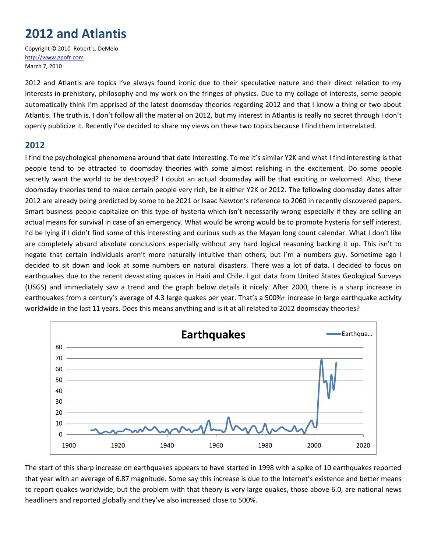# **2012 and Atlantis**

Copyright © 2010 Robert L. DeMelo [http://www.gpofr.com](http://www.gpofr.com/) March 7, 2010

2012 and Atlantis are topics I've always found ironic due to their speculative nature and their direct relation to my interests in prehistory, philosophy and my work on the fringes of physics. Due to my collage of interests, some people automatically think I'm apprised of the latest doomsday theories regarding 2012 and that I know a thing or two about Atlantis. The truth is, I don't follow all the material on 2012, but my interest in Atlantis is really no secret through I don't openly publicize it. Recently I've decided to share my views on these two topics because I find them interrelated.

## **2012**

I find the psychological phenomena around that date interesting. To me it's similar Y2K and what I find interesting is that people tend to be attracted to doomsday theories with some almost relishing in the excitement. Do some people secretly want the world to be destroyed? I doubt an actual doomsday will be that exciting or welcomed. Also, these doomsday theories tend to make certain people very rich, be it either Y2K or 2012. The following doomsday dates after 2012 are already being predicted by some to be 2021 or Isaac Newton's reference to 2060 in recently discovered papers. Smart business people capitalize on this type of hysteria which isn't necessarily wrong especially if they are selling an actual means for survival in case of an emergency. What would be wrong would be to promote hysteria for self interest. I'd be lying if I didn't find some of this interesting and curious such as the Mayan long count calendar. What I don't like are completely absurd absolute conclusions especially without any hard logical reasoning backing it up. This isn't to negate that certain individuals aren't more naturally intuitive than others, but I'm a numbers guy. Sometime ago I decided to sit down and look at some numbers on natural disasters. There was a lot of data. I decided to focus on earthquakes due to the recent devastating quakes in Haiti and Chile. I got data from United States Geological Surveys (USGS) and immediately saw a trend and the graph below details it nicely. After 2000, there is a sharp increase in earthquakes from a century's average of 4.3 large quakes per year. That's a 500%+ increase in large earthquake activity worldwide in the last 11 years. Does this means anything and is it at all related to 2012 doomsday theories?



The start of this sharp increase on earthquakes appears to have started in 1998 with a spike of 10 earthquakes reported that year with an average of 6.87 magnitude. Some say this increase is due to the Internet's existence and better means to report quakes worldwide, but the problem with that theory is very large quakes, those above 6.0, are national news headliners and reported globally and they've also increased close to 500%.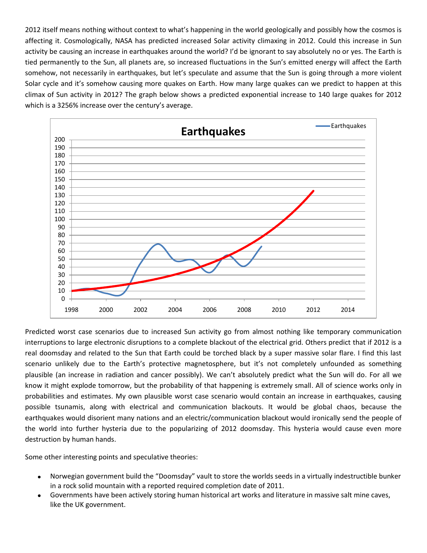2012 itself means nothing without context to what's happening in the world geologically and possibly how the cosmos is affecting it. Cosmologically, NASA has predicted increased Solar activity climaxing in 2012. Could this increase in Sun activity be causing an increase in earthquakes around the world? I'd be ignorant to say absolutely no or yes. The Earth is tied permanently to the Sun, all planets are, so increased fluctuations in the Sun's emitted energy will affect the Earth somehow, not necessarily in earthquakes, but let's speculate and assume that the Sun is going through a more violent Solar cycle and it's somehow causing more quakes on Earth. How many large quakes can we predict to happen at this climax of Sun activity in 2012? The graph below shows a predicted exponential increase to 140 large quakes for 2012 which is a 3256% increase over the century's average.



Predicted worst case scenarios due to increased Sun activity go from almost nothing like temporary communication interruptions to large electronic disruptions to a complete blackout of the electrical grid. Others predict that if 2012 is a real doomsday and related to the Sun that Earth could be torched black by a super massive solar flare. I find this last scenario unlikely due to the Earth's protective magnetosphere, but it's not completely unfounded as something plausible (an increase in radiation and cancer possibly). We can't absolutely predict what the Sun will do. For all we know it might explode tomorrow, but the probability of that happening is extremely small. All of science works only in probabilities and estimates. My own plausible worst case scenario would contain an increase in earthquakes, causing possible tsunamis, along with electrical and communication blackouts. It would be global chaos, because the earthquakes would disorient many nations and an electric/communication blackout would ironically send the people of the world into further hysteria due to the popularizing of 2012 doomsday. This hysteria would cause even more destruction by human hands.

Some other interesting points and speculative theories:

- Norwegian government build the "Doomsday" vault to store the worlds seeds in a virtually indestructible bunker in a rock solid mountain with a reported required completion date of 2011.
- Governments have been actively storing human historical art works and literature in massive salt mine caves, like the UK government.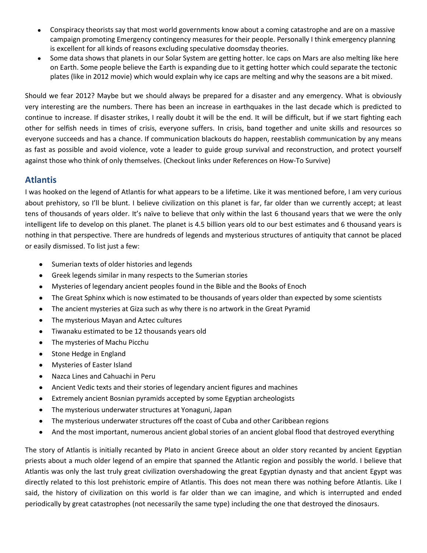- Conspiracy theorists say that most world governments know about a coming catastrophe and are on a massive campaign promoting Emergency contingency measures for their people. Personally I think emergency planning is excellent for all kinds of reasons excluding speculative doomsday theories.
- Some data shows that planets in our Solar System are getting hotter. Ice caps on Mars are also melting like here  $\bullet$ on Earth. Some people believe the Earth is expanding due to it getting hotter which could separate the tectonic plates (like in 2012 movie) which would explain why ice caps are melting and why the seasons are a bit mixed.

Should we fear 2012? Maybe but we should always be prepared for a disaster and any emergency. What is obviously very interesting are the numbers. There has been an increase in earthquakes in the last decade which is predicted to continue to increase. If disaster strikes, I really doubt it will be the end. It will be difficult, but if we start fighting each other for selfish needs in times of crisis, everyone suffers. In crisis, band together and unite skills and resources so everyone succeeds and has a chance. If communication blackouts do happen, reestablish communication by any means as fast as possible and avoid violence, vote a leader to guide group survival and reconstruction, and protect yourself against those who think of only themselves. (Checkout links under References on How-To Survive)

# **Atlantis**

I was hooked on the legend of Atlantis for what appears to be a lifetime. Like it was mentioned before, I am very curious about prehistory, so I'll be blunt. I believe civilization on this planet is far, far older than we currently accept; at least tens of thousands of years older. It's naïve to believe that only within the last 6 thousand years that we were the only intelligent life to develop on this planet. The planet is 4.5 billion years old to our best estimates and 6 thousand years is nothing in that perspective. There are hundreds of legends and mysterious structures of antiquity that cannot be placed or easily dismissed. To list just a few:

- Sumerian texts of older histories and legends
- Greek legends similar in many respects to the Sumerian stories  $\bullet$
- Mysteries of legendary ancient peoples found in the Bible and the Books of Enoch  $\bullet$
- The Great Sphinx which is now estimated to be thousands of years older than expected by some scientists  $\bullet$
- The ancient mysteries at Giza such as why there is no artwork in the Great Pyramid  $\bullet$
- The mysterious Mayan and Aztec cultures  $\bullet$
- $\bullet$ Tiwanaku estimated to be 12 thousands years old
- The mysteries of Machu Picchu  $\bullet$
- Stone Hedge in England  $\bullet$
- Mysteries of Easter Island  $\bullet$
- $\bullet$ Nazca Lines and Cahuachi in Peru
- Ancient Vedic texts and their stories of legendary ancient figures and machines  $\bullet$
- Extremely ancient Bosnian pyramids accepted by some Egyptian archeologists  $\bullet$
- The mysterious underwater structures at Yonaguni, Japan  $\bullet$
- The mysterious underwater structures off the coast of Cuba and other Caribbean regions  $\bullet$
- And the most important, numerous ancient global stories of an ancient global flood that destroyed everything  $\bullet$

The story of Atlantis is initially recanted by Plato in ancient Greece about an older story recanted by ancient Egyptian priests about a much older legend of an empire that spanned the Atlantic region and possibly the world. I believe that Atlantis was only the last truly great civilization overshadowing the great Egyptian dynasty and that ancient Egypt was directly related to this lost prehistoric empire of Atlantis. This does not mean there was nothing before Atlantis. Like I said, the history of civilization on this world is far older than we can imagine, and which is interrupted and ended periodically by great catastrophes (not necessarily the same type) including the one that destroyed the dinosaurs.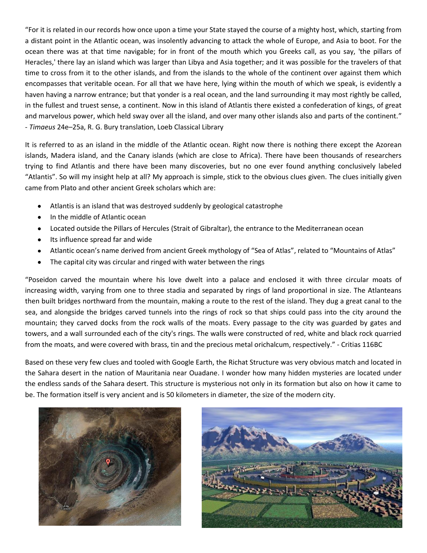"For it is related in our records how once upon a time your State stayed the course of a mighty host, which, starting from a distant point in the Atlantic ocean, was insolently advancing to attack the whole of Europe, and Asia to boot. For the ocean there was at that time navigable; for in front of the mouth which you Greeks call, as you say, 'the pillars of Heracles,' there lay an island which was larger than Libya and Asia together; and it was possible for the travelers of that time to cross from it to the other islands, and from the islands to the whole of the continent over against them which encompasses that veritable ocean. For all that we have here, lying within the mouth of which we speak, is evidently a haven having a narrow entrance; but that yonder is a real ocean, and the land surrounding it may most rightly be called, in the fullest and truest sense, a continent. Now in this island of Atlantis there existed a confederation of kings, of great and marvelous power, which held sway over all the island, and over many other islands also and parts of the continent." - *Timaeus* 24e–25a, R. G. Bury translation, Loeb Classical Library

It is referred to as an island in the middle of the Atlantic ocean. Right now there is nothing there except the Azorean islands, Madera island, and the Canary islands (which are close to Africa). There have been thousands of researchers trying to find Atlantis and there have been many discoveries, but no one ever found anything conclusively labeled "Atlantis". So will my insight help at all? My approach is simple, stick to the obvious clues given. The clues initially given came from Plato and other ancient Greek scholars which are:

- Atlantis is an island that was destroyed suddenly by geological catastrophe
- In the middle of Atlantic ocean
- Located outside the Pillars of Hercules (Strait of Gibraltar), the entrance to the Mediterranean ocean
- Its influence spread far and wide  $\bullet$
- Atlantic ocean's name derived from ancient Greek mythology of "Sea of Atlas", related to "Mountains of Atlas"
- The capital city was circular and ringed with water between the rings

"Poseidon carved the mountain where his love dwelt into a palace and enclosed it with three circular moats of increasing width, varying from one to three stadia and separated by rings of land proportional in size. The Atlanteans then built bridges northward from the mountain, making a route to the rest of the island. They dug a great canal to the sea, and alongside the bridges carved tunnels into the rings of rock so that ships could pass into the city around the mountain; they carved docks from the rock walls of the moats. Every passage to the city was guarded by gates and towers, and a wall surrounded each of the city's rings. The walls were constructed of red, white and black rock quarried from the moats, and were covered with brass, tin and the precious metal orichalcum, respectively." - Critias 116BC

Based on these very few clues and tooled with Google Earth, the Richat Structure was very obvious match and located in the Sahara desert in the nation of Mauritania near Ouadane. I wonder how many hidden mysteries are located under the endless sands of the Sahara desert. This structure is mysterious not only in its formation but also on how it came to be. The formation itself is very ancient and is 50 kilometers in diameter, the size of the modern city.



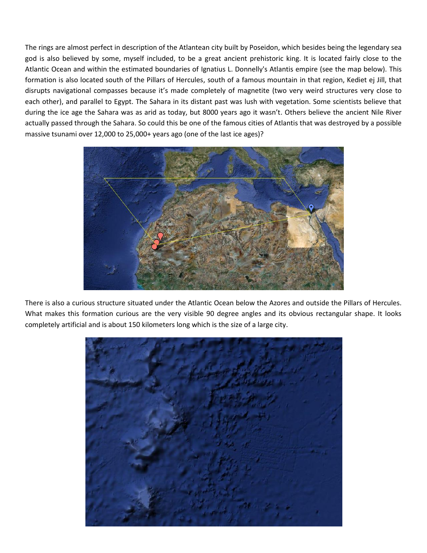The rings are almost perfect in description of the Atlantean city built by Poseidon, which besides being the legendary sea god is also believed by some, myself included, to be a great ancient prehistoric king. It is located fairly close to the Atlantic Ocean and within the estimated boundaries of Ignatius L. Donnelly's Atlantis empire (see the map below). This formation is also located south of the Pillars of Hercules, south of a famous mountain in that region, Kediet ej Jill, that disrupts navigational compasses because it's made completely of magnetite (two very weird structures very close to each other), and parallel to Egypt. The Sahara in its distant past was lush with vegetation. Some scientists believe that during the ice age the Sahara was as arid as today, but 8000 years ago it wasn't. Others believe the ancient Nile River actually passed through the Sahara. So could this be one of the famous cities of Atlantis that was destroyed by a possible massive tsunami over 12,000 to 25,000+ years ago (one of the last ice ages)?



There is also a curious structure situated under the Atlantic Ocean below the Azores and outside the Pillars of Hercules. What makes this formation curious are the very visible 90 degree angles and its obvious rectangular shape. It looks completely artificial and is about 150 kilometers long which is the size of a large city.

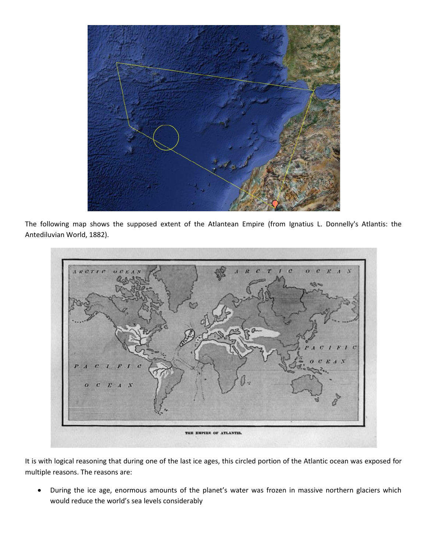

The following map shows the supposed extent of the Atlantean Empire (from Ignatius L. Donnelly's Atlantis: the Antediluvian World, 1882).



It is with logical reasoning that during one of the last ice ages, this circled portion of the Atlantic ocean was exposed for multiple reasons. The reasons are:

During the ice age, enormous amounts of the planet's water was frozen in massive northern glaciers which would reduce the world's sea levels considerably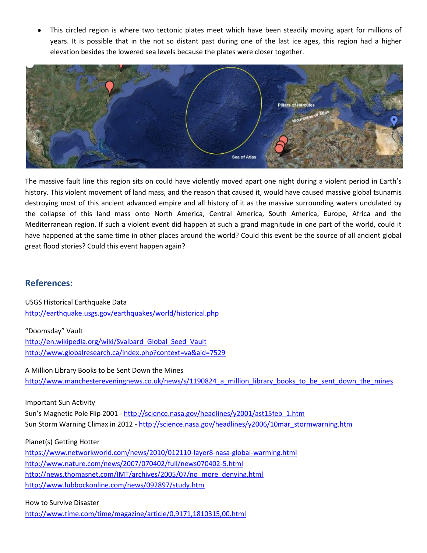This circled region is where two tectonic plates meet which have been steadily moving apart for millions of years. It is possible that in the not so distant past during one of the last ice ages, this region had a higher elevation besides the lowered sea levels because the plates were closer together.



The massive fault line this region sits on could have violently moved apart one night during a violent period in Earth's history. This violent movement of land mass, and the reason that caused it, would have caused massive global tsunamis destroying most of this ancient advanced empire and all history of it as the massive surrounding waters undulated by the collapse of this land mass onto North America, Central America, South America, Europe, Africa and the Mediterranean region. If such a violent event did happen at such a grand magnitude in one part of the world, could it have happened at the same time in other places around the world? Could this event be the source of all ancient global great flood stories? Could this event happen again?

# **References:**

USGS Historical Earthquake Data <http://earthquake.usgs.gov/earthquakes/world/historical.php>

"Doomsday" Vault [http://en.wikipedia.org/wiki/Svalbard\\_Global\\_Seed\\_Vault](http://en.wikipedia.org/wiki/Svalbard_Global_Seed_Vault) <http://www.globalresearch.ca/index.php?context=va&aid=7529>

A Million Library Books to be Sent Down the Mines http://www.manchestereveningnews.co.uk/news/s/1190824 a million library books to be sent down the mines

Important Sun Activity

Sun's Magnetic Pole Flip 2001 - [http://science.nasa.gov/headlines/y2001/ast15feb\\_1.htm](http://science.nasa.gov/headlines/y2001/ast15feb_1.htm) Sun Storm Warning Climax in 2012 - [http://science.nasa.gov/headlines/y2006/10mar\\_stormwarning.htm](http://science.nasa.gov/headlines/y2006/10mar_stormwarning.htm)

Planet(s) Getting Hotter

<https://www.networkworld.com/news/2010/012110-layer8-nasa-global-warming.html> <http://www.nature.com/news/2007/070402/full/news070402-5.html> [http://news.thomasnet.com/IMT/archives/2005/07/no\\_more\\_denying.html](http://news.thomasnet.com/IMT/archives/2005/07/no_more_denying.html) <http://www.lubbockonline.com/news/092897/study.htm>

### How to Survive Disaster

<http://www.time.com/time/magazine/article/0,9171,1810315,00.html>